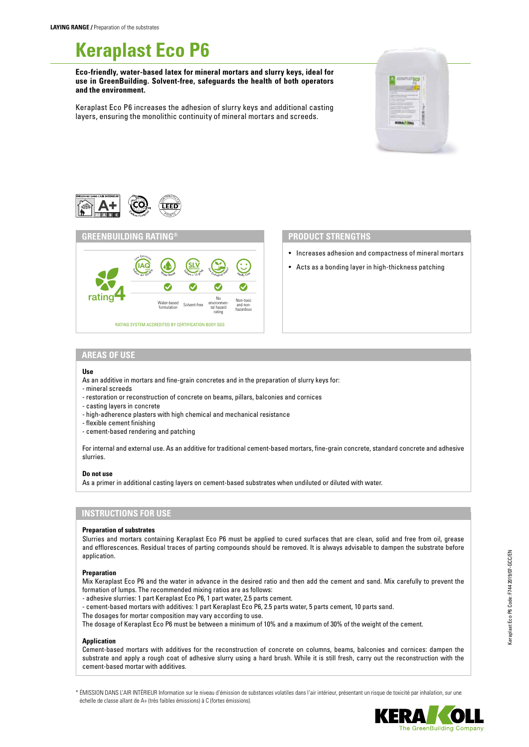# **Keraplast Eco P6**

**Eco-friendly, water-based latex for mineral mortars and slurry keys, ideal for use in GreenBuilding. Solvent-free, safeguards the health of both operators and the environment.**

Keraplast Eco P6 increases the adhesion of slurry keys and additional casting layers, ensuring the monolithic continuity of mineral mortars and screeds.







## **PRODUCT STRENGTHS**

- Increases adhesion and compactness of mineral mortars
- Acts as a bonding layer in high-thickness patching

## **AREAS OF USE**

#### **Use**

As an additive in mortars and fine-grain concretes and in the preparation of slurry keys for: - mineral screeds

- restoration or reconstruction of concrete on beams, pillars, balconies and cornices
- casting layers in concrete
- high-adherence plasters with high chemical and mechanical resistance
- flexible cement finishing
- cement-based rendering and patching

For internal and external use. As an additive for traditional cement-based mortars, fine-grain concrete, standard concrete and adhesive slurries.

#### **Do not use**

As a primer in additional casting layers on cement-based substrates when undiluted or diluted with water.

### **INSTRUCTIONS FOR USE**

#### **Preparation of substrates**

Slurries and mortars containing Keraplast Eco P6 must be applied to cured surfaces that are clean, solid and free from oil, grease and efflorescences. Residual traces of parting compounds should be removed. It is always advisable to dampen the substrate before application.

#### **Preparation**

Mix Keraplast Eco P6 and the water in advance in the desired ratio and then add the cement and sand. Mix carefully to prevent the formation of lumps. The recommended mixing ratios are as follows:

- adhesive slurries: 1 part Keraplast Eco P6, 1 part water, 2.5 parts cement.

- cement-based mortars with additives: 1 part Keraplast Eco P6, 2.5 parts water, 5 parts cement, 10 parts sand.
- The dosages for mortar composition may vary according to use.

The dosage of Keraplast Eco P6 must be between a minimum of 10% and a maximum of 30% of the weight of the cement.

#### **Application**

Cement-based mortars with additives for the reconstruction of concrete on columns, beams, balconies and cornices: dampen the substrate and apply a rough coat of adhesive slurry using a hard brush. While it is still fresh, carry out the reconstruction with the cement-based mortar with additives.

\* ÉMISSION DANS L'AIR INTÉRIEUR Information sur le niveau d'émission de substances volatiles dans l'air intérieur, présentant un risque de toxicité par inhalation, sur une échelle de classe allant de A+ (très faibles émissions) à C (fortes émissions).

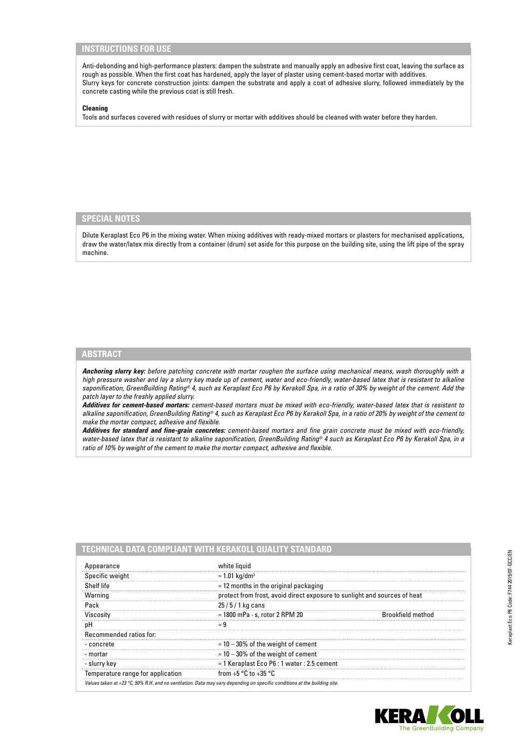# **INSTRUCTIONS FOR USE**

Anti-debonding and high-performance plasters: dampen the substrate and manually apply an adhesive first coat, leaving the surface as rough as possible. When the first coat has hardened, apply the layer of plaster using cement-based mortar with additives. Slurry keys for concrete construction joints: dampen the substrate and apply a coat of adhesive slurry, followed immediately by the concrete casting while the previous coat is still fresh.

#### **Cleaning**

Tools and surfaces covered with residues of slurry or mortar with additives should be cleaned with water before they harden.

# **SPECIAL NOTES**

Dilute Keraplast Eco P6 in the mixing water. When mixing additives with ready-mixed mortars or plasters for mechanised applications, draw the water/latex mix directly from a container (drum) set aside for this purpose on the building site, using the lift pipe of the spray machine.

# **ABSTRACT**

*Anchoring slurry key: before patching concrete with mortar roughen the surface using mechanical means, wash thoroughly with a high pressure washer and lay a slurry key made up of cement, water and eco-friendly, water-based latex that is resistant to alkaline saponification, GreenBuilding Rating® 4, such as Keraplast Eco P6 by Kerakoll Spa, in a ratio of 30% by weight of the cement. Add the patch layer to the freshly applied slurry.*

*Additives for cement-based mortars: cement-based mortars must be mixed with eco-friendly, water-based latex that is resistant to alkaline saponification, GreenBuilding Rating® 4, such as Keraplast Eco P6 by Kerakoll Spa, in a ratio of 20% by weight of the cement to make the mortar compact, adhesive and flexible.*

*Additives for standard and fine-grain concretes: cement-based mortars and fine grain concrete must be mixed with eco-friendly, water-based latex that is resistant to alkaline saponification, GreenBuilding Rating® 4 such as Keraplast Eco P6 by Kerakoll Spa, in a ratio of 10% by weight of the cement to make the mortar compact, adhesive and flexible.*

| Appearance                        | white liquid                                                              |                          |
|-----------------------------------|---------------------------------------------------------------------------|--------------------------|
| Specific weight                   | $\approx$ 1.01 kg/dm <sup>3</sup>                                         |                          |
| Shelf life                        | $\approx$ 12 months in the original packaging                             |                          |
| Warning                           | protect from frost, avoid direct exposure to sunlight and sources of heat |                          |
| Pack                              | $25/5/1$ kg cans                                                          |                          |
| Viscosity                         | $\approx$ 1800 mPa $\cdot$ s, rotor 2 RPM 20                              | <b>Brookfield method</b> |
| рH                                | ≈ 9                                                                       |                          |
| Recommended ratios for:           |                                                                           |                          |
| - concrete                        | $\approx$ 10 – 30% of the weight of cement                                |                          |
| - mortar                          | $\approx$ 10 – 30% of the weight of cement                                |                          |
| - slurry key                      | $\approx$ 1 Keraplast Eco P6 : 1 water : 2.5 cement                       |                          |
| Temperature range for application | from +5 $\degree$ C to +35 $\degree$ C                                    |                          |